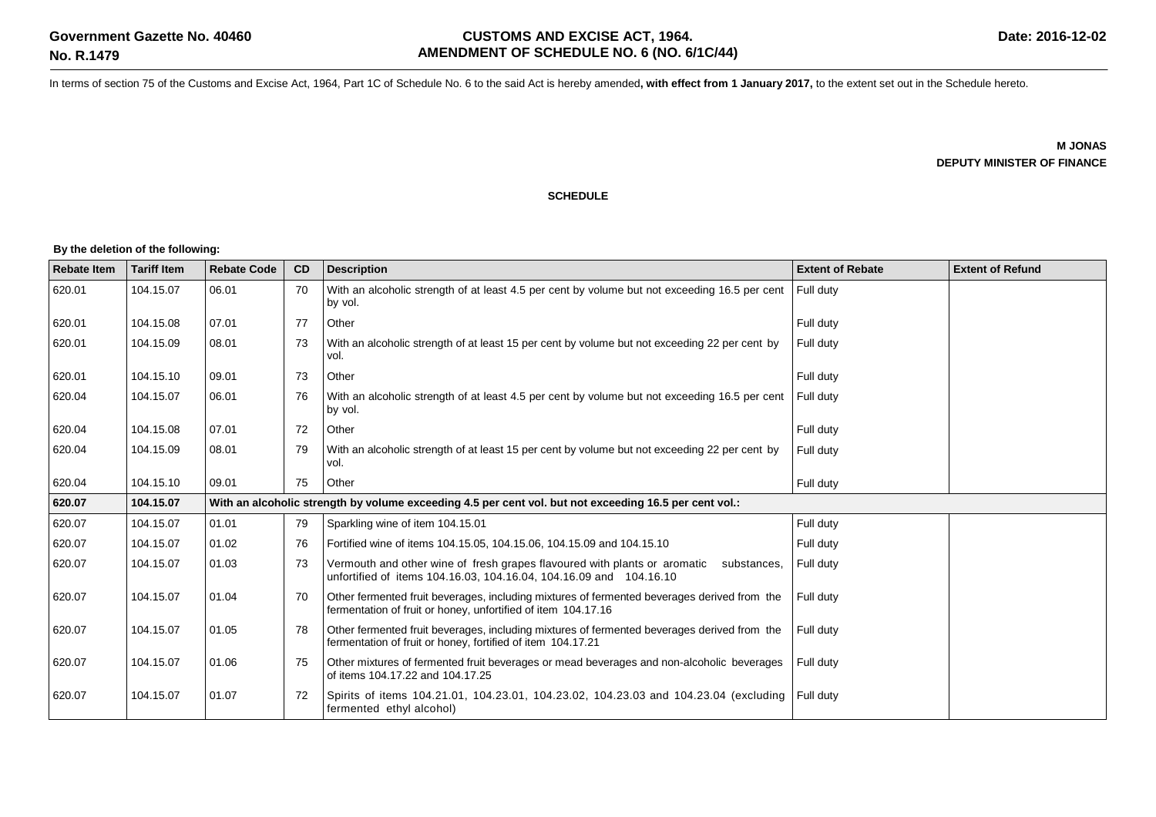In terms of section 75 of the Customs and Excise Act, 1964, Part 1C of Schedule No. 6 to the said Act is hereby amended**, with effect from 1 January 2017,** to the extent set out in the Schedule hereto.

**M JONAS DEPUTY MINISTER OF FINANCE**

#### **SCHEDULE**

#### **By the deletion of the following:**

| <b>Rebate Item</b> | <b>Tariff Item</b> | <b>Rebate Code</b> | <b>CD</b>                                                                                              | <b>Description</b>                                                                                                                                             | <b>Extent of Rebate</b> | <b>Extent of Refund</b> |  |  |
|--------------------|--------------------|--------------------|--------------------------------------------------------------------------------------------------------|----------------------------------------------------------------------------------------------------------------------------------------------------------------|-------------------------|-------------------------|--|--|
| 620.01             | 104.15.07          | 06.01              | 70                                                                                                     | With an alcoholic strength of at least 4.5 per cent by volume but not exceeding 16.5 per cent<br>by vol.                                                       | Full duty               |                         |  |  |
| 620.01             | 104.15.08          | 07.01              | 77                                                                                                     | Other                                                                                                                                                          | Full duty               |                         |  |  |
| 620.01             | 104.15.09          | 08.01              | 73                                                                                                     | With an alcoholic strength of at least 15 per cent by volume but not exceeding 22 per cent by<br>vol.                                                          | Full duty               |                         |  |  |
| 620.01             | 104.15.10          | 09.01              | 73                                                                                                     | Other                                                                                                                                                          | Full duty               |                         |  |  |
| 620.04             | 104.15.07          | 06.01              | 76                                                                                                     | With an alcoholic strength of at least 4.5 per cent by volume but not exceeding 16.5 per cent<br>by vol.                                                       | Full duty               |                         |  |  |
| 620.04             | 104.15.08          | 07.01              | 72                                                                                                     | Other                                                                                                                                                          | Full duty               |                         |  |  |
| 620.04             | 104.15.09          | 08.01              | 79                                                                                                     | With an alcoholic strength of at least 15 per cent by volume but not exceeding 22 per cent by<br>vol.                                                          | Full duty               |                         |  |  |
| 620.04             | 104.15.10          | 09.01              | 75                                                                                                     | Other                                                                                                                                                          | Full duty               |                         |  |  |
| 620.07             | 104.15.07          |                    | With an alcoholic strength by volume exceeding 4.5 per cent vol. but not exceeding 16.5 per cent vol.: |                                                                                                                                                                |                         |                         |  |  |
| 620.07             | 104.15.07          | 01.01              | 79                                                                                                     | Sparkling wine of item 104.15.01                                                                                                                               | Full duty               |                         |  |  |
| 620.07             | 104.15.07          | 01.02              | 76                                                                                                     | Fortified wine of items 104.15.05, 104.15.06, 104.15.09 and 104.15.10                                                                                          | Full duty               |                         |  |  |
| 620.07             | 104.15.07          | 01.03              | 73                                                                                                     | Vermouth and other wine of fresh grapes flavoured with plants or aromatic<br>substances,<br>unfortified of items 104.16.03, 104.16.04, 104.16.09 and 104.16.10 | Full duty               |                         |  |  |
| 620.07             | 104.15.07          | 01.04              | 70                                                                                                     | Other fermented fruit beverages, including mixtures of fermented beverages derived from the<br>fermentation of fruit or honey, unfortified of item 104.17.16   | Full duty               |                         |  |  |
| 620.07             | 104.15.07          | 01.05              | 78                                                                                                     | Other fermented fruit beverages, including mixtures of fermented beverages derived from the<br>fermentation of fruit or honey, fortified of item 104.17.21     | Full duty               |                         |  |  |
| 620.07             | 104.15.07          | 01.06              | 75                                                                                                     | Other mixtures of fermented fruit beverages or mead beverages and non-alcoholic beverages<br>of items 104.17.22 and 104.17.25                                  | Full duty               |                         |  |  |
| 620.07             | 104.15.07          | 01.07              | 72                                                                                                     | Spirits of items 104.21.01, 104.23.01, 104.23.02, 104.23.03 and 104.23.04 (excluding Full duty<br>fermented ethyl alcohol)                                     |                         |                         |  |  |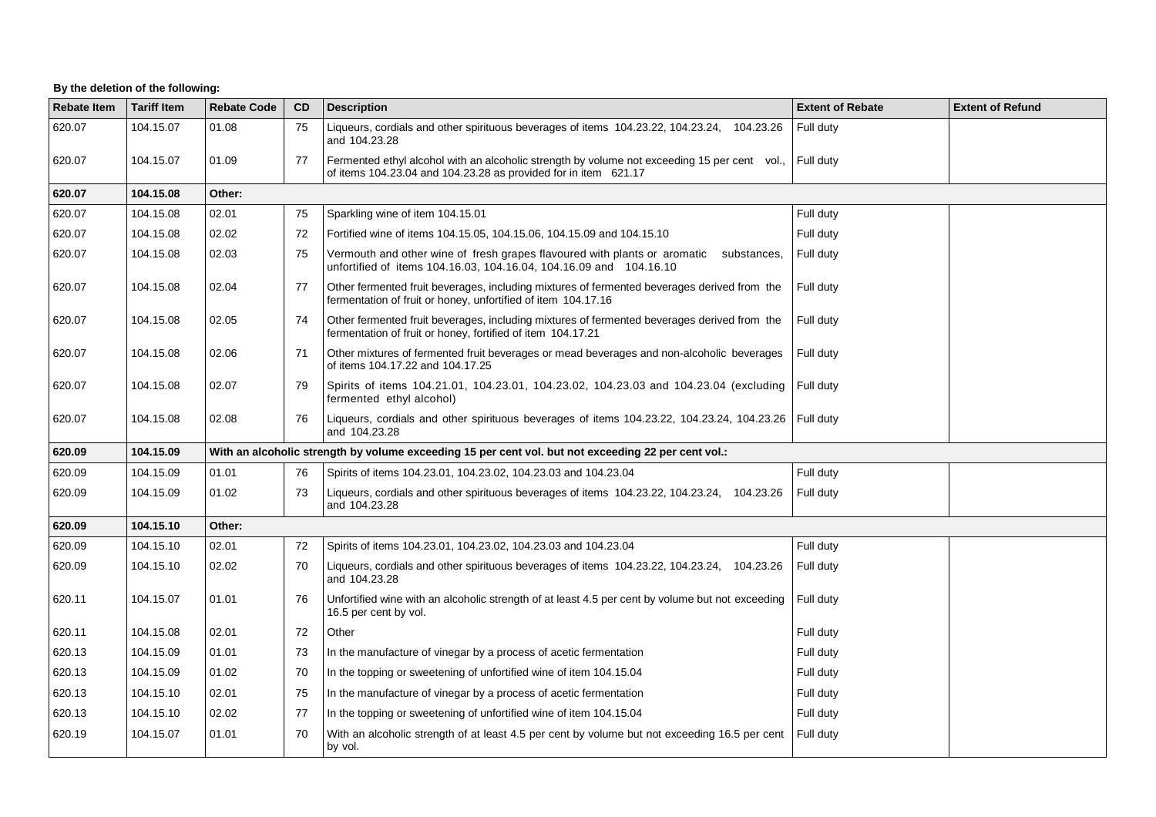## **By the deletion of the following:**

| <b>Rebate Item</b> | <b>Tariff Item</b> | <b>Rebate Code</b> | <b>CD</b>                                                                                           | <b>Description</b>                                                                                                                                              | <b>Extent of Rebate</b> | <b>Extent of Refund</b> |  |  |  |
|--------------------|--------------------|--------------------|-----------------------------------------------------------------------------------------------------|-----------------------------------------------------------------------------------------------------------------------------------------------------------------|-------------------------|-------------------------|--|--|--|
| 620.07             | 104.15.07          | 01.08              | 75                                                                                                  | Liqueurs, cordials and other spirituous beverages of items 104.23.22, 104.23.24, 104.23.26<br>and 104.23.28                                                     | Full duty               |                         |  |  |  |
| 620.07             | 104.15.07          | 01.09              | 77                                                                                                  | Fermented ethyl alcohol with an alcoholic strength by volume not exceeding 15 per cent vol.,<br>of items 104.23.04 and 104.23.28 as provided for in item 621.17 | Full duty               |                         |  |  |  |
| 620.07             | 104.15.08          | Other:             |                                                                                                     |                                                                                                                                                                 |                         |                         |  |  |  |
| 620.07             | 104.15.08          | 02.01              | 75                                                                                                  | Sparkling wine of item 104.15.01                                                                                                                                | Full duty               |                         |  |  |  |
| 620.07             | 104.15.08          | 02.02              | 72                                                                                                  | Fortified wine of items 104.15.05, 104.15.06, 104.15.09 and 104.15.10                                                                                           | Full duty               |                         |  |  |  |
| 620.07             | 104.15.08          | 02.03              | 75                                                                                                  | Vermouth and other wine of fresh grapes flavoured with plants or aromatic substances,<br>unfortified of items 104.16.03, 104.16.04, 104.16.09 and 104.16.10     | Full duty               |                         |  |  |  |
| 620.07             | 104.15.08          | 02.04              | 77                                                                                                  | Other fermented fruit beverages, including mixtures of fermented beverages derived from the<br>fermentation of fruit or honey, unfortified of item 104.17.16    | Full duty               |                         |  |  |  |
| 620.07             | 104.15.08          | 02.05              | 74                                                                                                  | Other fermented fruit beverages, including mixtures of fermented beverages derived from the<br>fermentation of fruit or honey, fortified of item 104.17.21      | Full duty               |                         |  |  |  |
| 620.07             | 104.15.08          | 02.06              | 71                                                                                                  | Other mixtures of fermented fruit beverages or mead beverages and non-alcoholic beverages<br>of items 104.17.22 and 104.17.25                                   | Full duty               |                         |  |  |  |
| 620.07             | 104.15.08          | 02.07              | 79                                                                                                  | Spirits of items 104.21.01, 104.23.01, 104.23.02, 104.23.03 and 104.23.04 (excluding Full duty<br>fermented ethyl alcohol)                                      |                         |                         |  |  |  |
| 620.07             | 104.15.08          | 02.08              | 76                                                                                                  | Liqueurs, cordials and other spirituous beverages of items 104.23.22, 104.23.24, 104.23.26<br>and 104.23.28                                                     | Full duty               |                         |  |  |  |
| 620.09             | 104.15.09          |                    | With an alcoholic strength by volume exceeding 15 per cent vol. but not exceeding 22 per cent vol.: |                                                                                                                                                                 |                         |                         |  |  |  |
| 620.09             | 104.15.09          | 01.01              | 76                                                                                                  | Spirits of items 104.23.01, 104.23.02, 104.23.03 and 104.23.04                                                                                                  | Full duty               |                         |  |  |  |
| 620.09             | 104.15.09          | 01.02              | 73                                                                                                  | Liqueurs, cordials and other spirituous beverages of items 104.23.22, 104.23.24, 104.23.26<br>and 104.23.28                                                     | Full duty               |                         |  |  |  |
| 620.09             | 104.15.10          | Other:             |                                                                                                     |                                                                                                                                                                 |                         |                         |  |  |  |
| 620.09             | 104.15.10          | 02.01              | 72                                                                                                  | Spirits of items 104.23.01, 104.23.02, 104.23.03 and 104.23.04                                                                                                  | Full duty               |                         |  |  |  |
| 620.09             | 104.15.10          | 02.02              | 70                                                                                                  | Liqueurs, cordials and other spirituous beverages of items 104.23.22, 104.23.24, 104.23.26<br>and 104.23.28                                                     | Full duty               |                         |  |  |  |
| 620.11             | 104.15.07          | 01.01              | 76                                                                                                  | Unfortified wine with an alcoholic strength of at least 4.5 per cent by volume but not exceeding<br>16.5 per cent by vol.                                       | Full duty               |                         |  |  |  |
| 620.11             | 104.15.08          | 02.01              | 72                                                                                                  | Other                                                                                                                                                           | Full duty               |                         |  |  |  |
| 620.13             | 104.15.09          | 01.01              | 73                                                                                                  | In the manufacture of vinegar by a process of acetic fermentation                                                                                               | Full duty               |                         |  |  |  |
| 620.13             | 104.15.09          | 01.02              | 70                                                                                                  | In the topping or sweetening of unfortified wine of item 104.15.04                                                                                              | Full duty               |                         |  |  |  |
| 620.13             | 104.15.10          | 02.01              | 75                                                                                                  | In the manufacture of vinegar by a process of acetic fermentation                                                                                               | Full duty               |                         |  |  |  |
| 620.13             | 104.15.10          | 02.02              | 77                                                                                                  | In the topping or sweetening of unfortified wine of item 104.15.04                                                                                              | Full duty               |                         |  |  |  |
| 620.19             | 104.15.07          | 01.01              | 70                                                                                                  | With an alcoholic strength of at least 4.5 per cent by volume but not exceeding 16.5 per cent<br>by vol.                                                        | Full duty               |                         |  |  |  |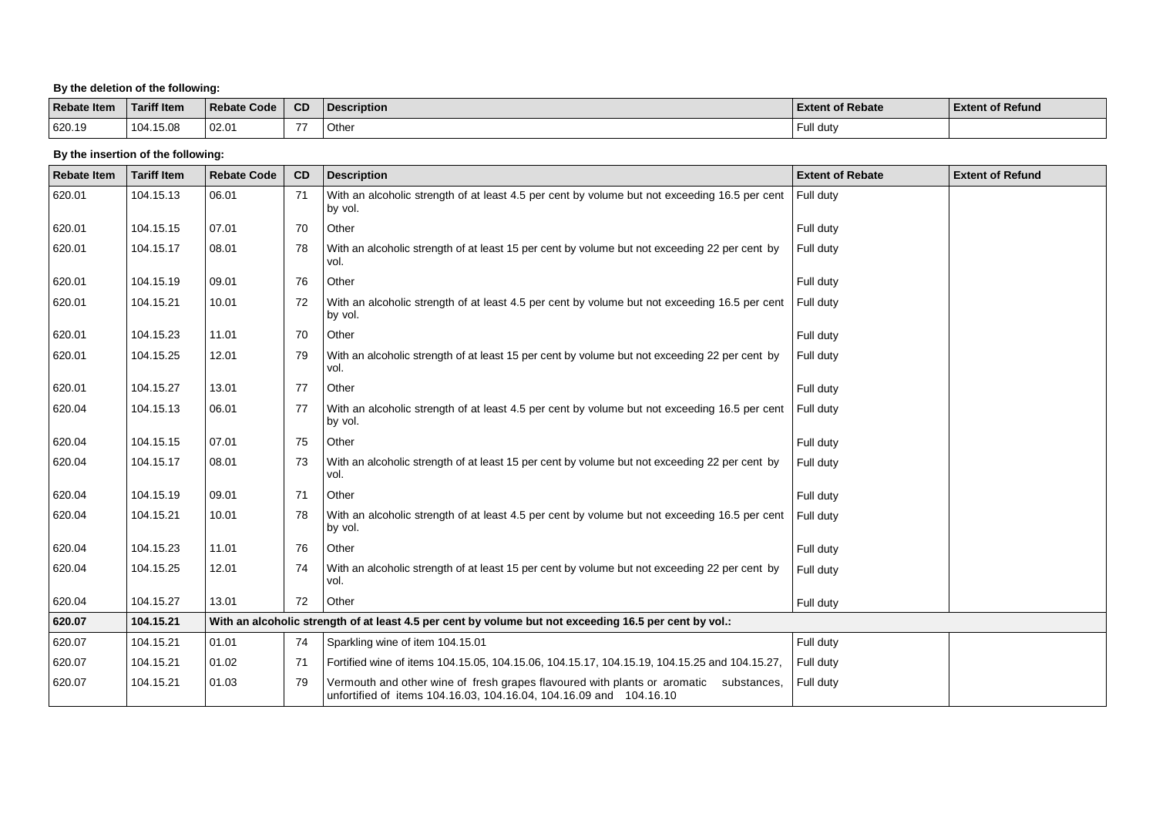### **By the deletion of the following:**

| <b>Rebate Item</b> | <b>Tariff Item</b> | Rebate Code | <b>CD</b> | <b>Description</b> | <b>Extent of Rebate</b> | <b>Extent of Refund</b> |
|--------------------|--------------------|-------------|-----------|--------------------|-------------------------|-------------------------|
| 620.19             | 104.15.08          | 02.01       | --        | Other              | l dutv                  |                         |

### **By the insertion of the following:**

| <b>Rebate Item</b> | <b>Tariff Item</b> | <b>Rebate Code</b>                                                                                     | CD | <b>Description</b>                                                                                                                                          | <b>Extent of Rebate</b> | <b>Extent of Refund</b> |  |  |
|--------------------|--------------------|--------------------------------------------------------------------------------------------------------|----|-------------------------------------------------------------------------------------------------------------------------------------------------------------|-------------------------|-------------------------|--|--|
| 620.01             | 104.15.13          | 06.01                                                                                                  | 71 | With an alcoholic strength of at least 4.5 per cent by volume but not exceeding 16.5 per cent<br>by vol.                                                    | Full duty               |                         |  |  |
| 620.01             | 104.15.15          | 07.01                                                                                                  | 70 | Other                                                                                                                                                       | Full duty               |                         |  |  |
| 620.01             | 104.15.17          | 08.01                                                                                                  | 78 | With an alcoholic strength of at least 15 per cent by volume but not exceeding 22 per cent by<br>vol.                                                       | Full duty               |                         |  |  |
| 620.01             | 104.15.19          | 09.01                                                                                                  | 76 | Other                                                                                                                                                       | Full duty               |                         |  |  |
| 620.01             | 104.15.21          | 10.01                                                                                                  | 72 | With an alcoholic strength of at least 4.5 per cent by volume but not exceeding 16.5 per cent<br>by vol.                                                    | Full duty               |                         |  |  |
| 620.01             | 104.15.23          | 11.01                                                                                                  | 70 | Other                                                                                                                                                       | Full duty               |                         |  |  |
| 620.01             | 104.15.25          | 12.01                                                                                                  | 79 | With an alcoholic strength of at least 15 per cent by volume but not exceeding 22 per cent by<br>vol.                                                       | Full duty               |                         |  |  |
| 620.01             | 104.15.27          | 13.01                                                                                                  | 77 | Other                                                                                                                                                       | Full duty               |                         |  |  |
| 620.04             | 104.15.13          | 06.01                                                                                                  | 77 | With an alcoholic strength of at least 4.5 per cent by volume but not exceeding 16.5 per cent<br>by vol.                                                    | Full duty               |                         |  |  |
| 620.04             | 104.15.15          | 07.01                                                                                                  | 75 | Other                                                                                                                                                       | Full duty               |                         |  |  |
| 620.04             | 104.15.17          | 08.01                                                                                                  | 73 | With an alcoholic strength of at least 15 per cent by volume but not exceeding 22 per cent by<br>vol.                                                       | Full duty               |                         |  |  |
| 620.04             | 104.15.19          | 09.01                                                                                                  | 71 | Other                                                                                                                                                       | Full duty               |                         |  |  |
| 620.04             | 104.15.21          | 10.01                                                                                                  | 78 | With an alcoholic strength of at least 4.5 per cent by volume but not exceeding 16.5 per cent<br>by vol.                                                    | Full duty               |                         |  |  |
| 620.04             | 104.15.23          | 11.01                                                                                                  | 76 | Other                                                                                                                                                       | Full duty               |                         |  |  |
| 620.04             | 104.15.25          | 12.01                                                                                                  | 74 | With an alcoholic strength of at least 15 per cent by volume but not exceeding 22 per cent by<br>vol.                                                       | Full duty               |                         |  |  |
| 620.04             | 104.15.27          | 13.01                                                                                                  | 72 | Other                                                                                                                                                       | Full duty               |                         |  |  |
| 620.07             | 104.15.21          | With an alcoholic strength of at least 4.5 per cent by volume but not exceeding 16.5 per cent by vol.: |    |                                                                                                                                                             |                         |                         |  |  |
| 620.07             | 104.15.21          | 01.01                                                                                                  | 74 | Sparkling wine of item 104.15.01                                                                                                                            | Full duty               |                         |  |  |
| 620.07             | 104.15.21          | 01.02                                                                                                  | 71 | Fortified wine of items 104.15.05, 104.15.06, 104.15.17, 104.15.19, 104.15.25 and 104.15.27,                                                                | Full duty               |                         |  |  |
| 620.07             | 104.15.21          | 01.03                                                                                                  | 79 | Vermouth and other wine of fresh grapes flavoured with plants or aromatic substances,<br>unfortified of items 104.16.03, 104.16.04, 104.16.09 and 104.16.10 | Full duty               |                         |  |  |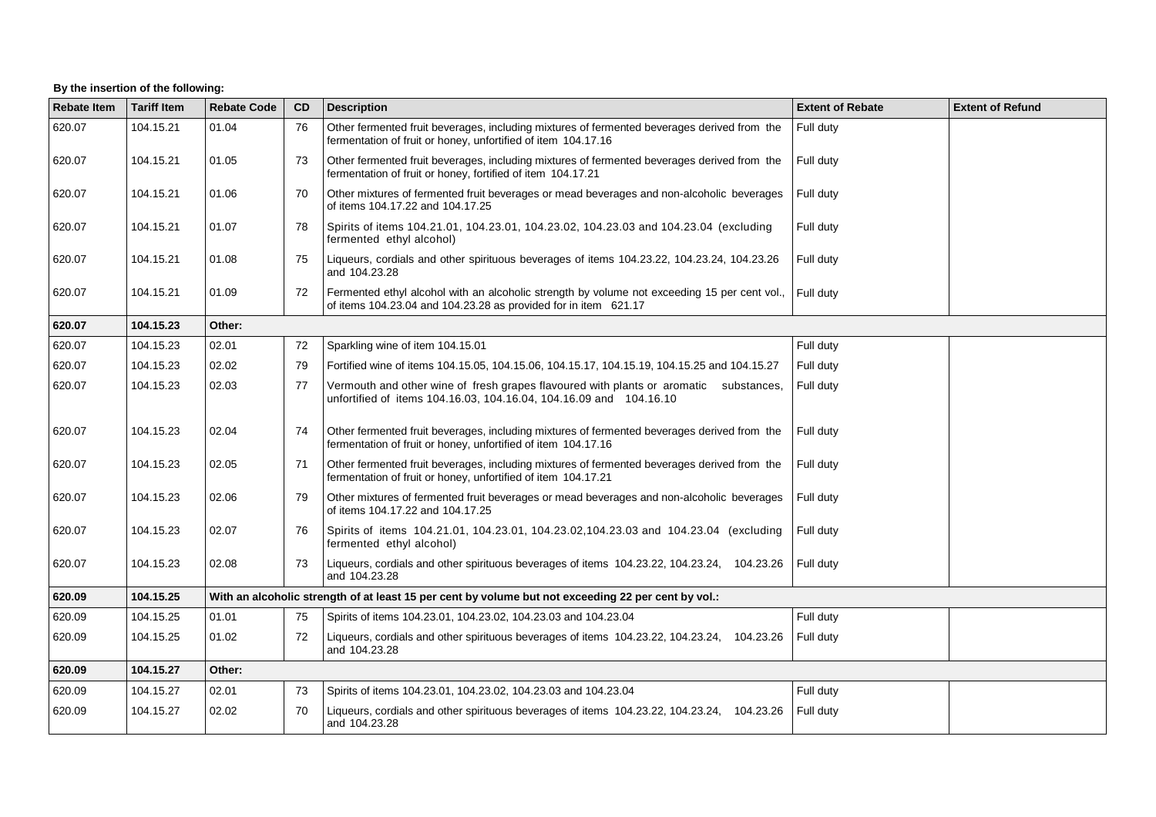# **By the insertion of the following:**

| <b>Rebate Item</b> | <b>Tariff Item</b> | <b>Rebate Code</b>                                                                                  | CD | <b>Description</b>                                                                                                                                              | <b>Extent of Rebate</b> | <b>Extent of Refund</b> |  |
|--------------------|--------------------|-----------------------------------------------------------------------------------------------------|----|-----------------------------------------------------------------------------------------------------------------------------------------------------------------|-------------------------|-------------------------|--|
| 620.07             | 104.15.21          | 01.04                                                                                               | 76 | Other fermented fruit beverages, including mixtures of fermented beverages derived from the<br>fermentation of fruit or honey, unfortified of item 104.17.16    | Full duty               |                         |  |
| 620.07             | 104.15.21          | 01.05                                                                                               | 73 | Other fermented fruit beverages, including mixtures of fermented beverages derived from the<br>fermentation of fruit or honey, fortified of item 104.17.21      | Full duty               |                         |  |
| 620.07             | 104.15.21          | 01.06                                                                                               | 70 | Other mixtures of fermented fruit beverages or mead beverages and non-alcoholic beverages<br>of items 104.17.22 and 104.17.25                                   | Full duty               |                         |  |
| 620.07             | 104.15.21          | 01.07                                                                                               | 78 | Spirits of items 104.21.01, 104.23.01, 104.23.02, 104.23.03 and 104.23.04 (excluding<br>fermented ethyl alcohol)                                                | Full duty               |                         |  |
| 620.07             | 104.15.21          | 01.08                                                                                               | 75 | Liqueurs, cordials and other spirituous beverages of items 104.23.22, 104.23.24, 104.23.26<br>and 104.23.28                                                     | Full duty               |                         |  |
| 620.07             | 104.15.21          | 01.09                                                                                               | 72 | Fermented ethyl alcohol with an alcoholic strength by volume not exceeding 15 per cent vol.,<br>of items 104.23.04 and 104.23.28 as provided for in item 621.17 | Full duty               |                         |  |
| 620.07             | 104.15.23          | Other:                                                                                              |    |                                                                                                                                                                 |                         |                         |  |
| 620.07             | 104.15.23          | 02.01                                                                                               | 72 | Sparkling wine of item 104.15.01                                                                                                                                | Full duty               |                         |  |
| 620.07             | 104.15.23          | 02.02                                                                                               | 79 | Fortified wine of items 104.15.05, 104.15.06, 104.15.17, 104.15.19, 104.15.25 and 104.15.27                                                                     | Full duty               |                         |  |
| 620.07             | 104.15.23          | 02.03                                                                                               | 77 | Vermouth and other wine of fresh grapes flavoured with plants or aromatic substances,<br>unfortified of items 104.16.03, 104.16.04, 104.16.09 and 104.16.10     | Full duty               |                         |  |
| 620.07             | 104.15.23          | 02.04                                                                                               | 74 | Other fermented fruit beverages, including mixtures of fermented beverages derived from the<br>fermentation of fruit or honey, unfortified of item 104.17.16    | Full duty               |                         |  |
| 620.07             | 104.15.23          | 02.05                                                                                               | 71 | Other fermented fruit beverages, including mixtures of fermented beverages derived from the<br>fermentation of fruit or honey, unfortified of item 104.17.21    | Full duty               |                         |  |
| 620.07             | 104.15.23          | 02.06                                                                                               | 79 | Other mixtures of fermented fruit beverages or mead beverages and non-alcoholic beverages<br>of items 104.17.22 and 104.17.25                                   | Full duty               |                         |  |
| 620.07             | 104.15.23          | 02.07                                                                                               | 76 | Spirits of items 104.21.01, 104.23.01, 104.23.02, 104.23.03 and 104.23.04 (excluding<br>fermented ethyl alcohol)                                                | Full duty               |                         |  |
| 620.07             | 104.15.23          | 02.08                                                                                               | 73 | Liqueurs, cordials and other spirituous beverages of items 104.23.22, 104.23.24, 104.23.26<br>and 104.23.28                                                     | Full duty               |                         |  |
| 620.09             | 104.15.25          | With an alcoholic strength of at least 15 per cent by volume but not exceeding 22 per cent by vol.: |    |                                                                                                                                                                 |                         |                         |  |
| 620.09             | 104.15.25          | 01.01                                                                                               | 75 | Spirits of items 104.23.01, 104.23.02, 104.23.03 and 104.23.04                                                                                                  | Full duty               |                         |  |
| 620.09             | 104.15.25          | 01.02                                                                                               | 72 | Liqueurs, cordials and other spirituous beverages of items 104.23.22, 104.23.24, 104.23.26<br>and 104.23.28                                                     | Full duty               |                         |  |
| 620.09             | 104.15.27          | Other:                                                                                              |    |                                                                                                                                                                 |                         |                         |  |
| 620.09             | 104.15.27          | 02.01                                                                                               | 73 | Spirits of items 104.23.01, 104.23.02, 104.23.03 and 104.23.04                                                                                                  | Full duty               |                         |  |
| 620.09             | 104.15.27          | 02.02                                                                                               | 70 | Liqueurs, cordials and other spirituous beverages of items 104.23.22, 104.23.24, 104.23.26<br>and 104.23.28                                                     | Full duty               |                         |  |